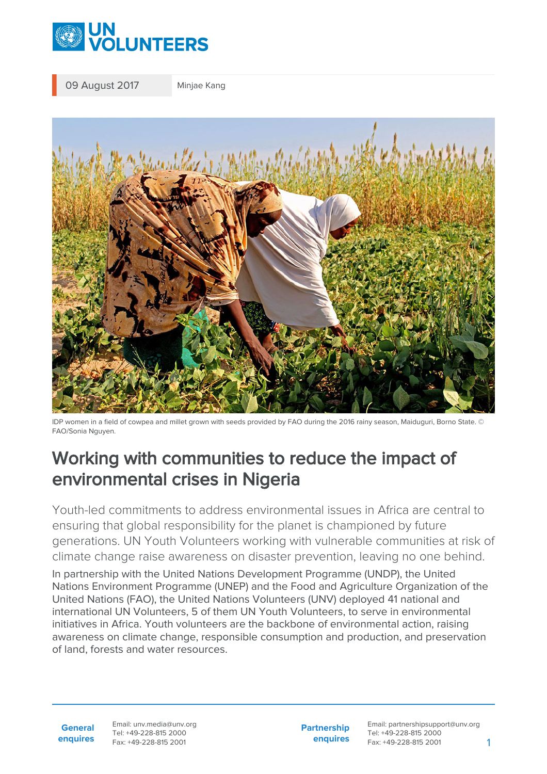

09 August 2017 Minjae Kang



IDP women in a field of cowpea and millet grown with seeds provided by FAO during the 2016 rainy season, Maiduguri, Borno State. © FAO/Sonia Nguyen.

## Working with communities to reduce the impact of environmental crises in Nigeria

Youth-led commitments to address environmental issues in Africa are central to ensuring that global responsibility for the planet is championed by future generations. UN Youth Volunteers working with vulnerable communities at risk of climate change raise awareness on disaster prevention, leaving no one behind. In partnership with the United Nations Development Programme (UNDP), the United Nations Environment Programme (UNEP) and the Food and Agriculture Organization of the United Nations (FAO), the United Nations Volunteers (UNV) deployed 41 national and international UN Volunteers, 5 of them UN Youth Volunteers, to serve in environmental initiatives in Africa. Youth volunteers are the backbone of environmental action, raising awareness on climate change, responsible consumption and production, and preservation of land, forests and water resources.

**General enquires** Email: unv.media@unv.org Tel: +49-228-815 2000 Fax: +49-228-815 2001

**Partnership enquires** Email: partnershipsupport@unv.org Tel: +49-228-815 2000 Fax: +49-228-815 2001 1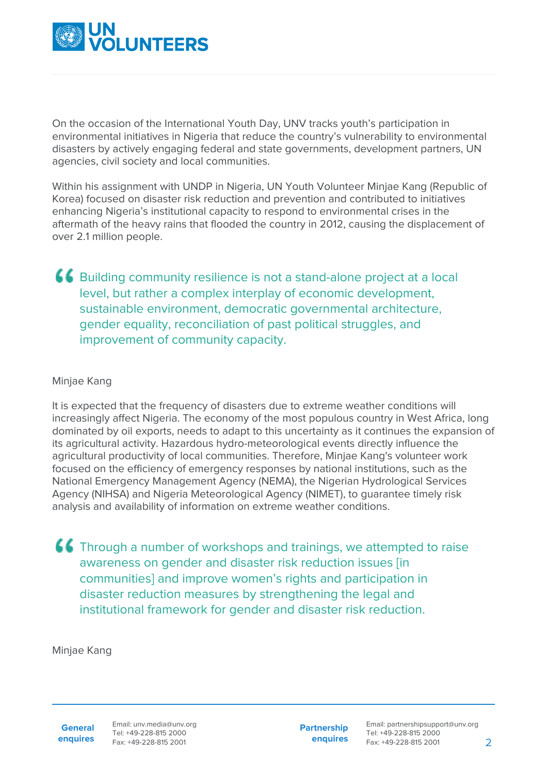

On the occasion of the International Youth Day, UNV tracks youth's participation in environmental initiatives in Nigeria that reduce the country's vulnerability to environmental disasters by actively engaging federal and state governments, development partners, UN agencies, civil society and local communities.

Within his assignment with UNDP in Nigeria, UN Youth Volunteer Minjae Kang (Republic of Korea) focused on disaster risk reduction and prevention and contributed to initiatives enhancing Nigeria's institutional capacity to respond to environmental crises in the aftermath of the heavy rains that flooded the country in 2012, causing the displacement of over 2.1 million people.

Building community resilience is not a stand-alone project at a local level, but rather a complex interplay of economic development, sustainable environment, democratic governmental architecture, gender equality, reconciliation of past political struggles, and improvement of community capacity.

## Minjae Kang

It is expected that the frequency of disasters due to extreme weather conditions will increasingly affect Nigeria. The economy of the most populous country in West Africa, long dominated by oil exports, needs to adapt to this uncertainty as it continues the expansion of its agricultural activity. Hazardous hydro-meteorological events directly influence the agricultural productivity of local communities. Therefore, Minjae Kang's volunteer work focused on the efficiency of emergency responses by national institutions, such as the National Emergency Management Agency (NEMA), the Nigerian Hydrological Services Agency (NIHSA) and Nigeria Meteorological Agency (NIMET), to guarantee timely risk analysis and availability of information on extreme weather conditions.

**66** Through a number of workshops and trainings, we attempted to raise awareness on gender and disaster risk reduction issues [in communities] and improve women's rights and participation in disaster reduction measures by strengthening the legal and institutional framework for gender and disaster risk reduction.

Minjae Kang

**General enquires** **Partnership enquires**